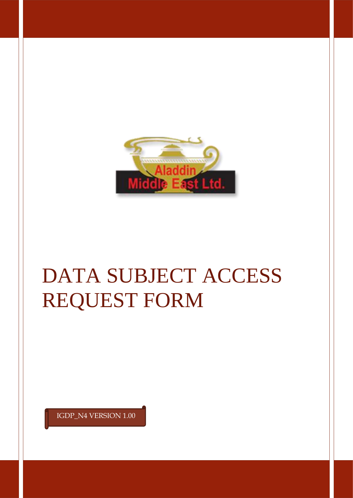

# DATA SUBJECT ACCESS REQUEST FORM

IGDP\_N4 VERSION 1.00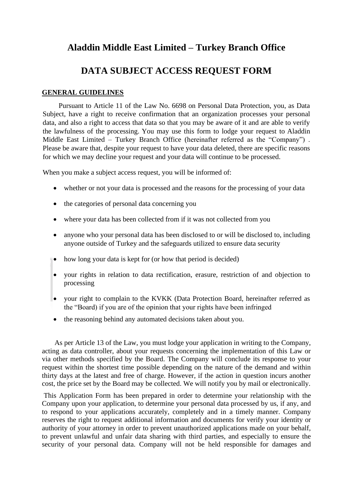# **Aladdin Middle East Limited – Turkey Branch Office**

## **DATA SUBJECT ACCESS REQUEST FORM**

#### **GENERAL GUIDELINES**

 Pursuant to Article 11 of the Law No. 6698 on Personal Data Protection, you, as Data Subject, have a right to receive confirmation that an organization processes your personal data, and also a right to access that data so that you may be aware of it and are able to verify the lawfulness of the processing. You may use this form to lodge your request to Aladdin Middle East Limited – Turkey Branch Office (hereinafter referred as the "Company") . Please be aware that, despite your request to have your data deleted, there are specific reasons for which we may decline your request and your data will continue to be processed.

When you make a subject access request, you will be informed of:

- whether or not your data is processed and the reasons for the processing of your data
- the categories of personal data concerning you
- where your data has been collected from if it was not collected from you
- anyone who your personal data has been disclosed to or will be disclosed to, including anyone outside of Turkey and the safeguards utilized to ensure data security
- how long your data is kept for (or how that period is decided)
- your rights in relation to data rectification, erasure, restriction of and objection to processing
- your right to complain to the KVKK (Data Protection Board, hereinafter referred as the "Board) if you are of the opinion that your rights have been infringed
- the reasoning behind any automated decisions taken about you.

As per Article 13 of the Law, you must lodge your application in writing to the Company, acting as data controller, about your requests concerning the implementation of this Law or via other methods specified by the Board. The Company will conclude its response to your request within the shortest time possible depending on the nature of the demand and within thirty days at the latest and free of charge. However, if the action in question incurs another cost, the price set by the Board may be collected. We will notify you by mail or electronically.

This Application Form has been prepared in order to determine your relationship with the Company upon your application, to determine your personal data processed by us, if any, and to respond to your applications accurately, completely and in a timely manner. Company reserves the right to request additional information and documents for verify your identity or authority of your attorney in order to prevent unauthorized applications made on your behalf, to prevent unlawful and unfair data sharing with third parties, and especially to ensure the security of your personal data. Company will not be held responsible for damages and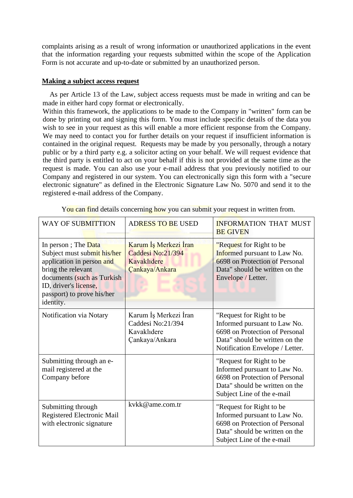complaints arising as a result of wrong information or unauthorized applications in the event that the information regarding your requests submitted within the scope of the Application Form is not accurate and up-to-date or submitted by an unauthorized person.

#### **Making a subject access request**

 As per Article 13 of the Law, subject access requests must be made in writing and can be made in either hard copy format or electronically.

Within this framework, the applications to be made to the Company in "written" form can be done by printing out and signing this form. You must include specific details of the data you wish to see in your request as this will enable a more efficient response from the Company. We may need to contact you for further details on your request if insufficient information is contained in the original request. Requests may be made by you personally, through a notary public or by a third party e.g. a solicitor acting on your behalf. We will request evidence that the third party is entitled to act on your behalf if this is not provided at the same time as the request is made. You can also use your e-mail address that you previously notified to our Company and registered in our system. You can electronically sign this form with a "secure electronic signature" as defined in the Electronic Signature Law No. 5070 and send it to the registered e-mail address of the Company.

| WAY OF SUBMITTION                                                                                                                                                                                       | <b>ADRESS TO BE USED</b>                                                    | <b>INFORMATION THAT MUST</b><br><b>BE GIVEN</b>                                                                                                                 |
|---------------------------------------------------------------------------------------------------------------------------------------------------------------------------------------------------------|-----------------------------------------------------------------------------|-----------------------------------------------------------------------------------------------------------------------------------------------------------------|
| In person; The Data<br>Subject must submit his/her<br>application in person and<br>bring the relevant<br>documents (such as Turkish<br>ID, driver's license,<br>passport) to prove his/her<br>identity. | Karum İş Merkezi İran<br>Caddesi No:21/394<br>Kavaklıdere<br>Çankaya/Ankara | "Request for Right to be<br>Informed pursuant to Law No.<br>6698 on Protection of Personal<br>Data" should be written on the<br>Envelope / Letter.              |
| Notification via Notary                                                                                                                                                                                 | Karum İş Merkezi İran<br>Caddesi No:21/394<br>Kavaklıdere<br>Çankaya/Ankara | "Request for Right to be<br>Informed pursuant to Law No.<br>6698 on Protection of Personal<br>Data" should be written on the<br>Notification Envelope / Letter. |
| Submitting through an e-<br>mail registered at the<br>Company before                                                                                                                                    |                                                                             | "Request for Right to be<br>Informed pursuant to Law No.<br>6698 on Protection of Personal<br>Data" should be written on the<br>Subject Line of the e-mail      |
| Submitting through<br>Registered Electronic Mail<br>with electronic signature                                                                                                                           | kykk@ame.com.tr                                                             | "Request for Right to be<br>Informed pursuant to Law No.<br>6698 on Protection of Personal<br>Data" should be written on the<br>Subject Line of the e-mail      |

You can find details concerning how you can submit your request in written from.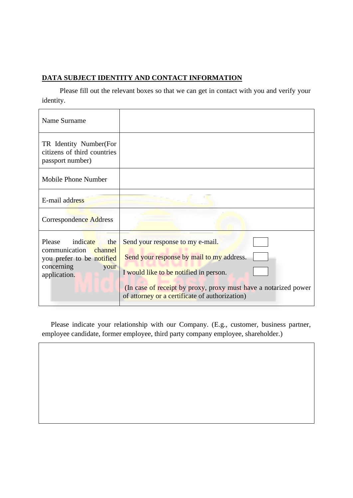## **DATA SUBJECT IDENTITY AND CONTACT INFORMATION**

 Please fill out the relevant boxes so that we can get in contact with you and verify your identity.

| Name Surname                                                                                                          |                                                                                                                                                                                                                                              |
|-----------------------------------------------------------------------------------------------------------------------|----------------------------------------------------------------------------------------------------------------------------------------------------------------------------------------------------------------------------------------------|
| TR Identity Number(For<br>citizens of third countries<br>passport number)                                             |                                                                                                                                                                                                                                              |
| Mobile Phone Number                                                                                                   |                                                                                                                                                                                                                                              |
| E-mail address                                                                                                        |                                                                                                                                                                                                                                              |
| Correspondence Address                                                                                                |                                                                                                                                                                                                                                              |
| Please<br>indicate<br>the<br>communication channel<br>you prefer to be notified<br>concerning<br>your<br>application. | Send your response to my e-mail.<br>Send your response by mail to my address.<br>I would like to be notified in person.<br>(In case of receipt by proxy, proxy must have a notarized power<br>of attorney or a certificate of authorization) |

Please indicate your relationship with our Company. (E.g., customer, business partner, employee candidate, former employee, third party company employee, shareholder.)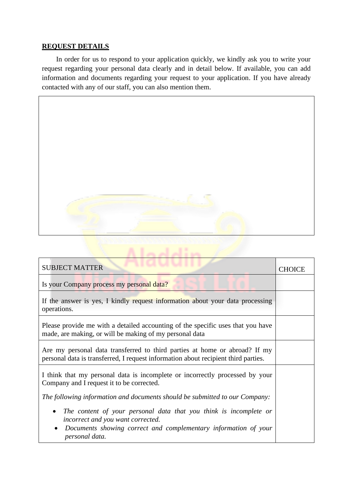### **REQUEST DETAILS**

 In order for us to respond to your application quickly, we kindly ask you to write your request regarding your personal data clearly and in detail below. If available, you can add information and documents regarding your request to your application. If you have already contacted with any of our staff, you can also mention them.



| <b>SUBJECT MATTER</b>                                                                                                                                                                                    | CHOICE |
|----------------------------------------------------------------------------------------------------------------------------------------------------------------------------------------------------------|--------|
| Is your Company process my personal data?                                                                                                                                                                |        |
| If the answer is yes, I kindly request information about your data processing<br>operations.                                                                                                             |        |
| Please provide me with a detailed accounting of the specific uses that you have<br>made, are making, or will be making of my personal data                                                               |        |
| Are my personal data transferred to third parties at home or abroad? If my<br>personal data is transferred, I request information about recipient third parties.                                         |        |
| I think that my personal data is incomplete or incorrectly processed by your<br>Company and I request it to be corrected.                                                                                |        |
| The following information and documents should be submitted to our Company:                                                                                                                              |        |
| The content of your personal data that you think is incomplete or<br>$\bullet$<br>incorrect and you want corrected.<br>Documents showing correct and complementary information of your<br>personal data. |        |